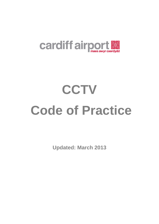

**Updated: March 2013**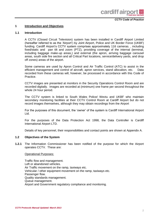

#### **1 Introduction and Objectives**

#### **1.1 Introduction**

A CCTV (Closed Circuit Television) system has been installed in Cardiff Airport Limited (hereafter referred to as the 'Airport') by Joint Airport, Police and UK Border Force (UKBF) funding. Cardiff Airport's CCTV system comprises approximately 116 cameras. , including fixed/static and pan tilt and zoom (PTZ), providing coverage of the internal (terminal, including baggage make-up areas,) and external (the apron, arriving baggage carousel areas, south side fire section and all Critical Part locations, service/delivery yards, and drop off zones) areas of the airport.

Some cameras are used by Apron Control and Air Traffic Control (ATC) to assist in the efficient management and control of aircraft, apron services, stand allocation, etc. Data recorded from these cameras will, however, be processed in accordance with this Code of Practice.

CCTV images are presented at monitors in the Security Operations Control Room and are recorded digitally. Images are recorded at (minimum) one frame per second throughout the whole 24 hour period.

The CCTV system is linked to South Wales Police/ Wectu and UKBF who maintain secondary monitoring facilities at their CCTV Control Room at Cardiff Airport but do not record images themselves, although they may obtain recordings from the Airport

For the purposes of this document, the 'owner' of the system is Cardiff International Airport Ltd.

For the purposes of the Data Protection Act 1998, the Data Controller is Cardiff International Airport LTD.

Details of key personnel, their responsibilities and contact points are shown at Appendix A.

#### **1.2 Objectives of the System**

**1.2.1** The Information Commissioner has been notified of the purpose for which the Airport operates CCTV. These are:

#### Operational Purposes:

Traffic flow and management. Left or abandoned vehicles. Air Traffic movement on the ramp, taxiways etc. Vehicular / other equipment movement on the ramp, taxiways etc. Passenger flow. Quality standards management. Queue management. Airport and Government regulatory compliance and monitoring.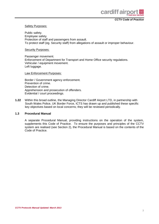

#### Safety Purposes:

Public safety. Employee safety. Protection of staff and passengers from assault. To protect staff (eg. Security staff) from allegations of assault or improper behaviour.

#### Security Purposes:

Passenger movement. Enforcement of Department for Transport and Home Office security regulations. Vehicular / equipment movement. Left luggage.

#### Law Enforcement Purposes:

Border / Government agency enforcement. Prevention of crime. Detection of crime. Apprehension and prosecution of offenders. Evidential / court proceedings.

**1.22** Within this broad outline, the Managing Director Cardiff Airport LTD, in partnership with South Wales Police, UK Border Force, ICTS has drawn up and published these specific key objectives based on local concerns; they will be reviewed periodically.

#### **1.3 Procedural Manual**

A separate Procedural Manual, providing instructions on the operation of the system, supplements this Code of Practice. To ensure the purposes and principles of the CCTV system are realised (see Section 2), the Procedural Manual is based on the contents of the Code of Practice.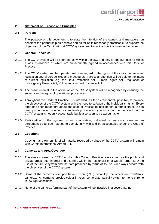#### **2. Statement of Purpose and Principles**

#### 2.1 **Purpose**

The purpose of this document is to state the intention of the owners and managers, on behalf of the partnership as a whole and as far as is reasonably practicable, to support the objectives of the Cardiff Airport CCTV system, and to outline how it is intended to do so.

#### 2.2 **General Principles**

- 2.2.1 The CCTV system will be operated fairly, within the law, and only for the purpose for which it was established or which are subsequently agreed in accordance with this Code of Practice.
- 2.2.2 The CCTV system will be operated with due regard to the rights of the individual, relevant legislation and airport policies and procedures. Particular attention will be paid to the intent of current legislation, e.g. the Data Protection Act, Human Rights Act, Regulation of Investigatory Powers Act, Police and Criminal Evidence Act.
- 2.2.3 The public interest in the operation of the CCTV system will be recognised by ensuring the security and integrity of operational procedures.
- 2.2.4 Throughout this Code of Practice it is intended, as far as reasonably possible, to balance the objectives of the CCTV system with the need to safeguard the individual's rights. Every effort has been made throughout the code of Practice to indicate that a formal structure has been put in place, including a complaints procedure, by which it can be identified that the CCTV system is not only accountable but is also seen to be accountable.
- 2.2.5 Participation in the system by an organisation, individual or authority, assumes an agreement by all such parties to comply fully with and be accountable under the Code of Practice.

#### **2.3 Copyright**

Copyright and ownership of all material recorded by virtue of the CCTV system will remain with Cardiff International Airport LTD

#### **2.4 Cameras and Area Coverage**

- 2.4.1 The areas covered by CCTV to which this Code of Practice refers comprise the public and private areas, both internal and external, within the responsibility of Cardiff Airport LTD the use of the CCTV system and the data produced by virtue of its use, will always accord with the objectives of the CCTV system.
- 2.4.2 Some of the cameras offer pan tilt and zoom (PTZ) capability; the others are fixed/static cameras. All cameras provide colour images; some automatically switch to mono-chrome in low light conditions.
- 2.4.3 None of the cameras forming part of the system will be installed in a covert manner.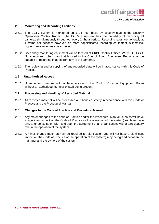#### **2.5 Monitoring and Recording Facilities**

- 2.5.1 The CCTV system is monitored on a 24 hour basis by security staff in the Security Operations Control Room. The CCTV equipment has the capability of recording all cameras simultaneously throughout every 24 hour period. Recording rates are generally at 1 frame per second; however, as more sophisticated recording equipment is installed, higher frame rates may be achieved.
- 2.5.2 Secondary monitoring equipment will be located at UKBF Control Offices, WECTU, HSSO. No equipment, other than that housed in the Control Room Equipment Room, shall be capable of recording images from any of the cameras.
- 2.5.3 The replaying and/or copying of any recorded data will be in accordance with this Code of Practice.

#### **2.6 Unauthorised Access**

2.6.1 Unauthorised persons will not have access to the Control Room or Equipment Room without an authorised member of staff being present.

#### **2.7 Processing and Handling of Recorded Material**

2.7.1 All recorded material will be processed and handled strictly in accordance with this Code of Practice and the Procedural Manual.

#### **2.8 Changes to the Code of Practice and Procedural Manual**

- 2.8.1 Any major changes to the code of Practice and/or the Procedural Manual (such as will have a significant impact on the Code of Practice or the operation of the system) will take place only after consultation with, and upon the agreement of all organisations with a participatory role in the operation of the system.
- 2.8.2 A minor change (such as may be required for clarification and will not have a significant impact on the Code of Practice or the operation of the system) may be agreed between the manager and the owners of the system.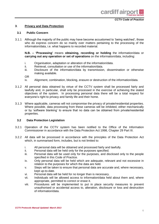#### **3**. **Privacy and Data Protection**

#### **3.1 Public Concern**

3.1.1 Although the majority of the public may have become accustomed to 'being watched', those who do express concern do so mainly over matters pertaining to the processing of the information/data, i.e. what happens to recorded material.

**N.B. – 'Processing'** means **obtaining, recording or holding** the information/data or **carrying out any operation or set of operations** on the information/data, including:

- i. Organisation, adaptation or alteration of the information/data.
- ii. Retrieval, consultation or use of the information/data.
- iii. Disclosure of the information/data by transmission, dissemination or otherwise making available.

OR

- iv. Alignment, combination, blocking, erasure or destruction of the information/data.
- 3.1.2 All personal data obtained by virtue of the CCTV system shall be processed fairly and lawfully and, in particular, shall only be processed in the exercise of achieving the stated objectives of the system. In processing personal data there will be a total respect for everyone's right to privacy and family life and their home.
- 3.1.3 Where applicable, cameras will not compromise the privacy of private/residential properties. Where possible, data processing from these cameras will be inhibited, either mechanically or by 'software blanking' to ensure that no data can be obtained from private/residential properties.

#### **3.2 Data Protection Legislation**

- 3.2.1 Operation of the CCTV system has been notified to the Office of the Information Commissioner in accordance with the Data Protection Act 1998, Chapter 29 Part III.
- 3.2.2 All data will be processed in accordance with the principles of the Data Protection Act which, in summarised form, includes, but is not limited to:
	- i. All personal data will be obtained and processed fairly and lawfully.
	- ii. Personal data will be held only for the purposes specified.
	- iii. Personal data will be used only for the purposes, and disclosed only to the people specified in this Code of Practice.
	- iv. Only personal data will be held which are adequate, relevant and not excessive in relation to the purposes for which the data are held.
	- v. Steps will be taken to ensure that personal data are accurate and, where necessary, kept up-to-date.
	- vi. Personal data will be held for no longer than is necessary.
	- vii. Individuals will be allowed access to information/data held about them and, where appropriate, permitted to correct or erase it.
	- viii. Procedures will be implemented to put in place security measures to prevent unauthorised or accidental access to, alteration, disclosure or loss and destruction of information/data.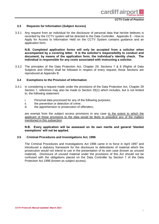#### **3.3 Requests for Information (Subject Access)**

3.3.1 Any request from an individual for the disclosure of personal data that he/she believes is recorded by the CCTV system will be directed to the Data Controller. Appendix E - How to Apply for Access to Information Held on the CCTV System contains guidance and an application form.

**N.B. Completed application forms will only be accepted from a solicitor when accompanied by a covering letter. It is the solicitor's responsibility to conduct and document, by means of the application form, the individual's identity check. The individual is responsible for any costs associated with instructing a solicitor.**

3.3.2 The principles of the Data Protection Act, Chapter 29, Sections 7 & 8 (Rights of Data Subjects and Others) shall be followed in respect of every request; those Sections are reproduced at Appendix B.

#### **3.4 Exemptions to the Provision of Information**

- 3.4.1 In considering a request made under the provisions of the Data Protection Act, Chapter 29 Section 7, reference may also be made to Section 29(1) which includes, but is not limited to, the following statement:
	- i. Personal data processed for any of the following purposes;<br>ii. the prevention or detection of crime:
	- the prevention or detection of crime:
	- iii the apprehension or prosecution of offenders;

are exempt from the subject access provisions in any case to the extent to which the applicant of those provisions to the data would be likely to prejudice any of the matters mentioned in this subsection.

#### **N.B. Every application will be assessed on its own merits and general 'blanket exemptions' will not be applied.**

#### **3.5 Criminal Procedures and Investigations Act, 1996**

The Criminal Procedures and Investigations Act 1996 came in to force in April 1997 and introduced a statutory framework for the disclosure to defendants of material which the prosecution would not intend to use in the presentation of its own case (known as unused material). Disclosure of unused material under the provisions of this Act should not be confused with the obligations placed on the Data Controller by Section 7 of the Data Protection Act 1998 (known as subject access).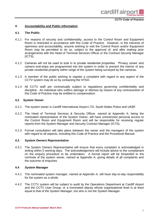

#### **4. Accountability and Public Information**

#### **4.1 The Public**

- 4.1.1 For reasons of security and confidentiality, access to the Control Room and Equipment Room is restricted in accordance with this Code of Practice. However, in the interests of openness and accountability, anyone wishing to visit the Control Room and/or Equipment Room may be permitted to do so, subject to the approval of, and after making prior arrangements with the Head of Terminal Services Officer or the Contract Security Manager (ICTS).
- 4.1.2 Cameras will not be used to look in to private residential properties. 'Privacy zones' and camera end-stops are programmed into the system in order to prevent the interior of any private residential property within range of the system being surveyed by the cameras.
- 4.1.3 A member of the public wishing to register a complaint with regard to any aspect of the CCTV system may do so by contacting the HTSO.
- 4.1.4 All CCTV staff are contractually subject to regulations governing confidentiality and discipline. An individual who suffers damage or distress by reason of any contravention of this Code of Practice may be entitled to compensation.

#### **4.2 System Owner**

- 4.2.1 The system owner is Cardiff International Airport LTD, South Wales Police and UKBF.
- 4.2.2 The Head of Terminal Services & Security Officer, named at Appendix A, being the nominated representative of the System Owner, will have unrestricted personal access to the Control Room and Equipment Room and will be responsible for receiving regular reports from the System Manager and Security Contract Manager (ICTS).
- 4.2.3 Formal consultation will take place between the owner and the managers of the system with regard to all aspects, including this Code of Practice and the Procedural Manual.

#### **4.3 System Owners Representative**

4.3.1 The System Owners Representative will ensure that every complaint is acknowledged in writing within 5 working days. The acknowledgement will include advice to the complainant on the enquiry procedure to be undertaken. A formal report will be forwarded to the nominee of the system owner, named at Appendix A, giving details of all complaints and the outcome of enquiries.

#### **4.4 System Manager**

- 4.4.1 The nominated system manager, named at Appendix A, will have day-to-day responsibility for the system as a whole.
- 4.4.2 The CCTV system will be subject to audit by the Operations Department at Cardiff Airport and the CCTV User Group, or a nominated deputy whose organisational level is at least equal to that of the System Manager, but who is not the System Manager.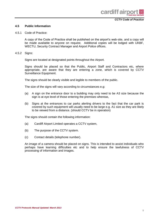#### **4.5 Public Information**

#### 4.5.1 Code of Practice:

A copy of the Code of Practice shall be published on the airport's web-site, and a copy will be made available to anyone on request. Additional copies will be lodged with UKBF, WECTU, Security Contract Manager and Airport Police offices.

4.5.2 Signs:

Signs are located at designated points throughout the Airport.

Signs should be placed so that the Public, Airport Staff and Contractors etc, where appropriate, are aware that they are entering a zone, which is covered by CCTV Surveillance Equipment.

The signs should be clearly visible and legible to members of the public.

The size of the signs will vary according to circumstances e.g:

- (a) A sign on the entrance door to a building may only need to be A3 size because the sign is at eye level of those entering the premises whereas,
- (b) Signs at the entrances to car parks alerting drivers to the fact that the car park is covered by such equipment will usually need to be large e.g. A1 size as they are likely to be viewed from a distance. (should CCTV be in operation)

The signs should contain the following information:

- (a) Cardiff Airport Limited operates a CCTV system,
- (b) The purpose of the CCTV system.
- (c) Contact details (telephone number).

An image of a camera should be placed on signs. This is intended to assist individuals who perhaps have learning difficulties etc and to help ensure the lawfulness of CCTV processing of information and images.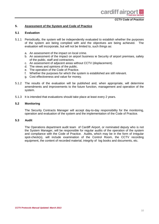#### **5. Assessment of the System and Code of Practice**

#### **5.1 Evaluation**

- 5.1.1 Periodically, the system will be independently evaluated to establish whether the purposes of the system are being complied with and the objectives are being achieved. The evaluation will incorporate, but will not be limited to, such things as:
	- a. An assessment of the impact on local crime.
	- b. An assessment of the impact on airport business ie Security of airport premises, safety of the public, staff and contractors.
	- c. An assessment of adjacent areas without CCTV (displacement).
	- d. The views and opinions of the public.
	- e. The operation of the Code of Practice.
	- f. Whether the purposes for which the system is established are still relevant.
	- g. Cost effectiveness and value for money.
- 5.1.2 The results of the evaluation will be published and, when appropriate, will determine amendments and improvements to the future function, management and operation of the system.
- 5.1.3 It is intended that evaluations should take place at least every 2 years.

#### **5.2 Monitoring**

The Security Contracts Manager will accept day-to-day responsibility for the monitoring, operation and evaluation of the system and the implementation of the Code of Practice.

#### **5.3 Audit**

The Operations department audit team of Cardiff Airport, or nominated deputy who is not the System Manager, will be responsible for regular audits of the operation of the system and compliance with the Code of Practice. Audits, which may be in the form of irregular spot-check(s), will include examination of the Control Room, the CCTV recording equipment, the content of recorded material, integrity of log books and documents, etc.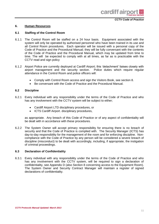

cardiff air

#### **6. Human Resources**

#### **6.1 Staffing of the Control Room**

- 6.1.1 The Control Room will be staffed on a 24 hour basis. Equipment associated with the system will only be operated by authorised personnel who have been trained in its use and all Control Room procedures. Each operator will be issued with a personal copy of the Code of Practice and the Procedural Manual; they will be fully conversant with the contents of the Code of Practice and the Procedural Manual, which may be updated from time to time. The will be expected to comply with at all times, as far as is practicable with the CCTV read and sign policy
- 6.1.2 Airport Police are currently deployed at Cardiff Airport; this 'detachment' liaises closely with airport management and the security section. Police duties which require regular attendance in the Control Room and police officers will:
	- Comply with Control Room access and sign the Visitors Book, see section 8.
	- Be conversant with the Code of Practice and the Procedural Manual.

#### **6.2 Discipline**

- 6.2.1 Every individual with any responsibility under the terms of the Code of Practice and who has any involvement with the CCTV system will be subject to either;
	- Cardiff Airport LTD disciplinary procedures, or
	- ICTS Cardiff Airport. disciplinary procedures,

as appropriate. Any breach of this Code of Practice or of any aspect of confidentiality will be dealt with in accordance with these procedures.

6.2.2 The System Owner will accept primary responsibility for ensuring there is no breach of security and that the Code of Practice is complied with. The Security Manager (ICTS) has day-to-day responsibility for the management of the room and for enforcing discipline. Noncompliance with the Code of Practice by any person will be considered a severe breach of discipline (misconduct) to be dealt with accordingly, including, if appropriate, the instigation of criminal proceedings.

#### **6.3 Declaration of Confidentiality**

6.3.1 Every individual with any responsibility under the terms of the Code of Practice and who has any involvement with the CCTV system, will be required to sign a declaration of confidentiality, see Appendix D (also Section 8 concerning access to the Equipment Room). The System Owner and Security Contract Manager will maintain a register of signed declarations of confidentiality.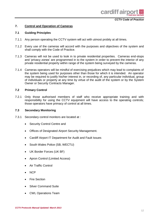#### **7. Control and Operation of Cameras**

#### **7.1 Guiding Principles**

- 7.1.1 Any person operating the CCTV system will act with utmost probity at all times.
- 7.1.2 Every use of the cameras will accord with the purposes and objectives of the system and shall comply with the Code of Practice.
- 7.1.3 Cameras will not be used to look in to private residential properties. Cameras end-stops and 'privacy zones' are programmed in to the system in order to prevent the interior of any private residential property within range of the system being surveyed by the cameras.
- 7.1.4 Cameras operators will be mindful of exercising prejudices which may lead to complaints of the system being used for purposes other than those for which it is intended. An operator may be required to justify his/her interest in, or recording of, any particular individual, group of individuals or property at any time by virtue of the audit of the system or by the System Owner or Security Contracts Manager.

#### **7.2 Primary Control**

7.2.1 Only those authorised members of staff who receive appropriate training and with responsibility for using the CCTV equipment will have access to the operating controls; those operators have primacy of control at all times.

#### **7.3 Secondary Monitoring**

- 7.3.1 Secondary control monitors are located at :
	- Security Control Centre and
	- Offices of Designated Airport Security Management.
	- Cardiff Airport IT Department for Audit and Fault Issues
	- South Wales Police (SB, WECTU)
	- UK Border Forces (UK BF)
	- Apron Control (Limited Access)
	- Air Traffic Control
	- NCP
	- Fire Section
	- Silver Command Suite
	- CWL Operations Team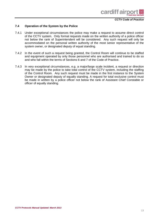

#### **7.4 Operation of the System by the Police**

- 7.4.1 Under exceptional circumstances the police may make a request to assume direct control of the CCTV system. Only formal requests made on the written authority of a police officer not below the rank of Superintendent will be considered. Any such request will only be accommodated on the personal written authority of the most senior representative of the system owner, or designated deputy of equal standing.
- 7.4.2 In the event of such a request being granted, the Control Room will continue to be staffed and equipment operated by only those personnel who are authorised and trained to do so and who fall within the terms of Sections 6 and 7 of the Code of Practice.
- 7.4.3 In very exceptional circumstances, e.g. a major/large scale incident, a request or direction may be made by the police to take total control of the CCTV system, including the staffing of the Control Room. Any such request must be made in the first instance to the System Owner or designated deputy of equally standing. A request for total exclusive control must be made in written by a police officer not below the rank of Assistant Chief Constable or officer of equally standing.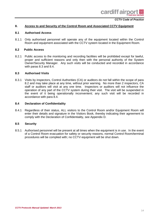#### **8. Access to and Security of the Control Room and Associated CCTV Equipment**

#### **8.1 Authorised Access**

8.1.1 Only authorised personnel will operate any of the equipment located within the Control Room and equipment associated with the CCTV system located in the Equipment Room.

#### **8.2 Public Access**

8.2.1 Public access to the monitoring and recording facilities will be prohibited except for lawful, proper and sufficient reasons and only then with the personal authority of the System Owner/Security Manager. Any such visits will be conducted and recorded in accordance with paras 8.3 and 8.4.

#### **8.3 Authorised Visits**

8.3.1 Visits by inspectors, Control Authorities (CA) or auditors do not fall within the scope of para 8.2 and may take place at any time, without prior warning. No more than 2 inspectors, CA staff or auditors will visit at any one time. Inspectors or auditors will not influence the operation of any part of the CCTV system during their visit. The visit will be suspended in the event of it being operationally inconvenient; any such visit will be recorded in accordance with para 8.4.

#### **8.4 Declaration of Confidentiality**

8.4.1 Regardless of their status, ALL visitors to the Control Room and/or Equipment Room will enter their details and signature in the Visitors Book, thereby indicating their agreement to comply with the Declaration of Confidentiality, see Appendix D.

#### **8.5 Security**

8.5.1 Authorised personnel will be present at all times when the equipment is in use. In the event of a Control Room evacuation for safety or security reasons, normal Control Room/terminal procedures will be complied with; no CCTV equipment will be shut down.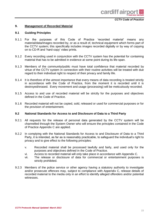#### **9. Management of Recorded Material**

#### **9.1 Guiding Principles**

- 9.1.1 For the purposes of this Code of Practice 'recorded material' means any material/data/images recorded by, or as a result of, technical equipment which forms part of the CCTV system; this specifically includes images recorded digitally or by way of copying on to CD-R and 'hard-copy' video prints.
- 9.1.2 Every recording used in conjunction with the CCTV system has the potential for containing material that has to be admitted in evidence at some point during its life-span.
- 9.1.3 Members of the community/public must have total confidence that material recorded by virtue of the CCTV system in connection with their routine activities will be treated with due regard to their individual right to respect of their privacy and family life.
- 9.1.4 It is therefore of the utmost importance that every means of data recording is treated strictly in accordance with the Code of Practice, from the moment it is recorded until it is destroyed/erased. Every movement and usage (processing) will be meticulously recorded.
- 9.1.5 Access to and use of recorded material will be strictly for the purposes and objectives defined in the Code of Practice.
- 9.1.6 Recorded material will not be copied, sold, released or used for commercial purposes or for the provision of entertainment.

#### **9.2 National Standards for Access to and Disclosure of Data to a Third Party**

- 9.2.1 All requests for the release of personal data generated by the CCTV system will be channelled through the System Owner who will ensure the principles contained in the Code of Practice Appendix C are applied.
- 9.2.2 In complying with the National Standards for Access to and Disclosure of Data to a Third Party, it is intended, as far as is reasonably practicable, to safeguard the individual's right to privacy and to give effect to the following principles:
	- v. Recorded material shall be processed lawfully and fairly, and used only for the purposes and objectives defined in the Code of Practice.
	- vi. Access to recorded material will only take place in accordance with Appendix C.
	- vii. The release or disclosure of data for commercial or entertainment purposes is strictly prohibited.
- 9.2.3 Members of the police service or other agency having a statutory authority to investigate and/or prosecute offences may, subject to compliance with Appendix C, release details of recorded material to the media only in an effort to identify alleged offenders and/or potential witnesses.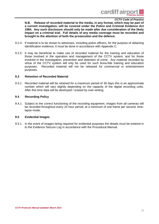

**N.B. Release of recorded material to the media, in any format, which may be part of a current investigation, will be covered under the Police and Criminal Evidence Act 1984. Any such disclosure should only be made after due consideration of the likely impact on a criminal trial. Full details of any media coverage must be recorded and brought to the attention of both the prosecution and the defence.**

- 9.2.4 If material is to be shown to witnesses, including police officers, for the purpose of obtaining identification evidence, it must be done in accordance with Appendix C.
- 9.2.5 It may be beneficial to make use of recorded material for the training and education of those involved in the operation and management of the CCTV system, and for those involved in the investigation, prevention and detection of crime. Any material recorded by virtue of the CCTV system will only be used for such bona-fide training and education purposes. Recorded material will not be released for commercial or entertainment purposes.

#### **9.3 Retention of Recorded Material**

9.3.1 Recorded material will be retained for a maximum period of 30 days this is an approximate number which will vary slightly depending on the capacity of the digital recording units. After this time data will be destroyed / erased by over-writing.

#### **9.4 Recording Policy**

9.4.1 Subject to the correct functioning of the recording equipment, images from all cameras will be recorded throughout every 24 hour period, at a minimum of one frame per second, timelapse mode.

#### **9.5 Evidential Images**

9.5.1 In the event of images being required for evidential purposes the details must be entered in to the Evidence Seizure Log in accordance with the Procedural Manual.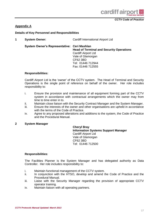

#### **Appendix A**

**Details of Key Personnel and Responsibilities**

| <b>System Owner:</b> | Cardiff International Airport Ltd |
|----------------------|-----------------------------------|
|                      |                                   |

**System Owner's Representative: Ceri Mashlan**

**Head of Terminal and Security Operations** Cardiff Airport Ltd Vale of Glamorgan CF62 3BD Tel: 01446 712944 Fax: 01446 712555

#### **Responsibilities:**

Cardiff Airport Ltd is the 'owner' of the CCTV system. The Head of Terminal and Security Operations is the single point of reference on behalf of the owner. Her role includes responsibility to:

- i. Ensure the provision and maintenance of all equipment forming part of the CCTV system in accordance with contractual arrangements which the owner may from time to time enter in to.
- ii. Maintain close liaison with the Security Contract Manager and the System Manager.
- iii. Ensure the interests of the owner and other organisations are upheld in accordance with the terms of the Code of Practice.
- iv. Agree to any proposed alterations and additions to the system, the Code of Practice and the Procedural Manual.

#### **2 System Manager**

**Cheryl Bray Information Systems Support Manager** Cardiff Airport Ltd Vale of Glamorgan CF62 3BD Tel: 01446 712500

#### **Responsibilities**:

The Facilities Planner is the System Manager and has delegated authority as Data Controller. Her role includes responsibility to:

- i. Maintain functional management of the CCTV system.
- ii. In conjunction with the HTSO, develop and amend the Code of Practice and the Procedural Manual.
- iii. Liaise with the Security Manager regarding the provision of appropriate CCTV operator training.
- iv. Maintain liaison with all operating partners.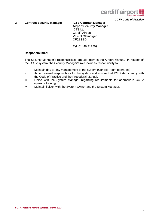

**3 Contract Security Manager ICTS Contract Manager**

**Airport Security Manager** ICTS Ltd, Cardiff Airport Vale of Glamorgan CF62 3BD

Tel: 01446 712509

#### **Responsibilities:**

The Security Manager's responsibilities are laid down in the Airport Manual. In respect of the CCTV system, the Security Manager's role includes responsibility to:

- i. Maintain day-to-day management of the system (Control Room operators).
- ii. Accept overall responsibility for the system and ensure that ICTS staff comply with the Code of Practice and the Procedural Manual.
- iii. Liaise with the System Manager regarding requirements for appropriate CCTV operator training.
- iv. Maintain liaison with the System Owner and the System Manager.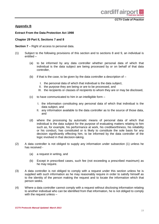

#### **Appendix B**

#### **Extract From the Data Protection Act 1998**

#### **Chapter 29 Part II, Sections 7 and 8**

**Section 7** – Right of access to personal data.

- (1) Subject to the following provisions of this section and to sections 8 and 9, an individual is entitled –
	- (a) to be informed by any data controller whether personal data of which that individual is the data subject are being processed by or on behalf of that data controller,
	- (b) if that is the case, to be given by the data controller a description of  $-$ 
		- I. the personal data of which that individual is the data subject,
		- II. the purpose they are being or are to be processed, and
		- III. the recipients or classes of recipients to whom they are or may be disclosed,
	- (c) to have communicated to him in an intelligible form
		- I. the information constituting any personal data of which that individual is the data subject, and
		- II. any information available to the data controller as to the source of those data, and
	- (d) where the processing by automatic means of personal data of which that individual is the data subject for the purpose of evaluating matters relating to him such as, for example, his performance at work, his creditworthiness, his reliability or his conduct, has constituted or is likely to constitute the sole basis for any decision significantly effecting him, to be informed by the data controller of the logic involved in that decision-taking.
- (2) A data controller is not obliged to supply any information under subsection (1) unless he has received -
	- (a) a request in writing, and
	- (b) Except in prescribed cases, such fee (not exceeding a prescribed maximum) as he may require.
- (3) A data controller is not obliged to comply with a request under this section unless he is supplied with such information as he may reasonably require in order to satisfy himself as to the identity of the person making the request and to locate the information which that person seeks.
- (4) Where a data controller cannot comply with a request without disclosing information relating to another individual who can be identified from that information, he is not obliged to comply with the request unless –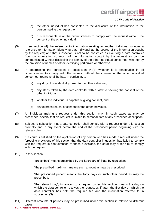- (a) the other individual has consented to the disclosure of the information to the person making the request, or
- (b) it is reasonable in all the circumstances to comply with the request without the consent of the other individual.
- (5) In subsection (4) the reference to information relating to another individual includes a reference to information identifying that individual as the source of the information sought by the request; and that subsection is not to be construed as excusing a data controller from communicating so much of the information sought by the request as can be communicated without disclosing the identity of the other individual concerned, whether by the omission of names or other identifying particulars or otherwise.
- (6) In determining the purposes of subsection (4)(b) whether it is reasonable in all circumstances to comply with the request without the consent of the other individual concerned, regard shall be had, in particular, to -
	- (a) any duty of confidentiality owed to the other individual,
	- (b) any steps taken by the data controller with a view to seeking the consent of the other individual,
	- (c) whether the individual is capable of giving consent, and
	- (d) any express refusal of consent by the other individual.
- (7) An individual making a request under this section may, in such cases as may be prescribed, specify that his request is limited to personal data of any prescribed description.
- (8) Subject to subsection (4), a data controller shall comply with a request under this section promptly and in any event before the end of the prescribed period beginning with the relevant day.
- (9) If a court is satisfied on the application of any person who has made a request under the foregoing provisions of this section that the data controller in question has failed to comply with the request in contravention of these provisions, the court may order him to comply with the request.
- (10) In this section -

"prescribed" means prescribed by the Secretary of State by regulations;

"the prescribed maximum" means such amount as may be prescribed;

"the prescribed period" means the forty days or such other period as may be prescribed;

"the relevant day", in relation to a request under this section, means the day on which the data controller receives the request or, if later, the first day on which the data controller has both the required fee and the information referred to in subsection (3).

(11) Different amounts of periods may be prescribed under this section in relation to different cases.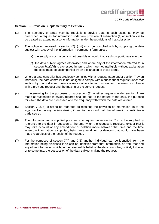#### **Section 8 – Provision Supplementary to Section 7**

- (1) The Secretary of State may by regulations provide that, in such cases as may be prescribed, a request for information under any provision of subsection (1) of section 7 is to be treated as extending also to information under the provisions of that subsection.
- (2) The obligation imposed by section  $(7)$ .  $(c)(i)$  must be complied with by supplying the data subject with a copy of the information in permanent form unless -
	- (a) the supply of such a copy is not possible or would involve disproportionate effort, or
	- (c) the data subject agrees otherwise; and where any of the information referred to in section  $7(1)(c)(i)$  is expressed in terms which are not intelligible without explanation the copy must be accompanied by an explanation of those terms.
- (3) Where a data controller has previously complied with a request made under section 7 by an individual, the data controller is not obliged to comply with a subsequent request under that section by that individual unless a reasonable interval has elapsed between compliance with a previous request and the making of the current request.
- (4) In determining for the purposes of subsection (3) whether requests under section 7 are made at reasonable intervals, regards shall be had to the nature of the data, the purpose for which the data are processed and the frequency with which the data are altered.
- (5) Section 7(1).(d) is not to be regarded as requiring the provision of information as to the logic involved in any decision-taking if, and to the extent that, the information constitutes a trade secret.
- (6) The information to be supplied pursuant to a request under section 7 must be supplied by reference to the data in question at the time when the request is received, except that it may take account of any amendment or deletion made between that time and the time when the information is supplied, being an amendment or deletion that would have been made regardless of the receipt of the request.
- (7) For the purposes of section 7(4) and 7(5) another individual can be identified from the information being disclosed if he can be identified from that information, or from that and any other information which, in the reasonable belief of the data controller, is likely to be in, or to come into, the possession of the data subject making the request.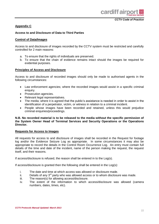

#### **Appendix C**

#### **Access to and Disclosure of Data to Third Parties**

#### **Control of Data/Images**

Access to and disclosure of images recorded by the CCTV system must be restricted and carefully controlled for 2 main reasons:

- a. To ensure that the rights of individuals are preserved.
- b. To ensure that the chain of evidence remains intact should the images be required for evidential purposes.

#### **Principles of Access and Disclosure**

Access to and disclosure of recorded images should only be made to authorised agents in the following circumstances:

- Law enforcement agencies; where the recorded images would assist in a specific criminal enquiry.
- Prosecution agencies.
- Relevant legal representatives.
- The media; where it is agreed that the public's assistance is needed in order to assist in the identification of a perpetrator, victim, or witness in relation to a criminal incident.
- People whose images have been recorded and retained, unless this would prejudice criminal enquiries/proceedings.

#### **N.B. No recorded material is to be released to the media without the specific permission of the System Owner Head of Terminal Services and Security Operations or the Operations Director.**

#### **Requests for Access to Images**

All requests for access to and disclosure of images shall be recorded in the Request for footage log and/or the Evidence Seizure Log as appropriate. In some circumstances it may also be appropriate to record the details in the Control Room Occurrence Log. An entry must contain full details of the time and date of the incident, name of the person making the request, the request itself, and their reasons.

If access/disclosure is refused, the reason shall be entered in to the Log(s).

If access/disclosure is granted then the following shall be entered in the Log(s):

- i. The date and time at which access was allowed or disclosure made.
- ii. Details of any  $3<sup>rd</sup>$  party who was allowed access or to whom disclosure was made.
- iii. The reason(s) for allowing access/disclosure.
- iv. The extent of the information to which access/disclosure was allowed (camera numbers, dates, times, etc).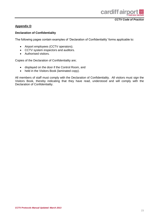

#### **Appendix D**

#### **Declaration of Confidentiality**

The following pages contain examples of 'Declaration of Confidentiality' forms applicable to:

- Airport employees (CCTV operators).
- CCTV system inspectors and auditors.
- Authorised visitors.

Copies of the Declaration of Confidentiality are;

- displayed on the door if the Control Room, and
- held in the Visitors Book (laminated copy).

All members of staff must comply with the Declaration of Confidentiality. All visitors must sign the Visitors Book, thereby indicating that they have read, understood and will comply with the Declaration of Confidentiality.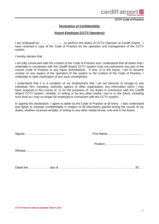

#### **Declaration of Confidentiality**

#### **Airport Employee (CCTV Operators)**

I am employed by …………………….to perform the duties of CCTV Operator at Cardiff Airport. I have received a copy of the Code of Practice for the operation and management of the CCTV system.

*I hereby declare that:*

I am fully conversant with the content of the Code of Practice and I understand that all duties that I undertake in connection with the Cardiff Airport CCTV system must not contravene any part of the current Code of Practice or any future amendments. If now, or in the future, I am or become unclear on any aspect of the operation of the system or the content of the Code of Practice, I undertake to seek clarification of any such uncertainties.

I understand that it is a condition of my employment that I do not disclose or divulge to any individual, firm, company, authority, agency or other organisation, any information which I may have acquired in the course of, or for the purposes of, my duties in connection with the Cardiff Airport CCTV system, verbally, in writing or by any other media, now or in the future, including such time as I may no longer be employed in connection with the CCTV system.

In signing this declaration, I agree to abide by the Code of Practice at all times. I also understand and agree to maintain confidentiality in respect of all information gained during the course of my duties, whether received verbally, in writing or any other media format, now and in the future.

Signed:………………………………… Print Name:……………………………..

Position:…………………………………

Witness:………………………………..

Dated the…………………..day of…………………………………………………………………….20…..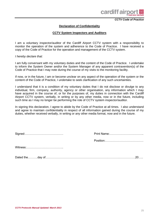

#### **Declaration of Confidentiality**

#### **CCTV System Inspectors and Auditors**

I am a voluntary inspector/auditor of the Cardiff Airport CCTV system with a responsibility to monitor the operation of the system and adherence to the Code of Practice. I have received a copy of the Code of Practice for the operation and management of the CCTV system.

*I hereby declare that:*

I am fully conversant with my voluntary duties and the content of the Code of Practice. I undertake to inform the System Owner and/or the System Manager of any apparent contravention(s) of the Code of Practice that I may note during the course of my visits to the monitoring facility.

If now, or in the future, I am or become unclear on any aspect of the operation of the system or the content of the Code of Practice, I undertake to seek clarification of any such uncertainties.

I understand that it is a condition of my voluntary duties that I do not disclose or divulge to any individual, firm, company, authority, agency or other organisation, any information which I may have acquired in the course of, or for the purposes of, my duties in connection with the Cardiff Airport CCTV system, verbally, in writing or by any other media, now or in the future, including such time as I may no longer be performing the role of CCTV system inspector/auditor.

In signing this declaration, I agree to abide by the Code of Practice at all times. I also understand and agree to maintain confidentiality in respect of all information gained during the course of my duties, whether received verbally, in writing or any other media format, now and in the future.

Signed:………………………………… Print Name:……………………………..

Position:…………………………………

Witness:………………………………..

Dated the……….day of………………………………………………………………….…………….20…..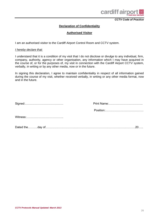

#### **Declaration of Confidentiality**

#### **Authorised Visitor**

I am an authorised visitor to the Cardiff Airport Control Room and CCTV system.

#### *I hereby declare that:*

I understand that it is a condition of my visit that I do not disclose or divulge to any individual, firm, company, authority, agency or other organisation, any information which I may have acquired in the course of, or for the purposes of, my visit in connection with the Cardiff Airport CCTV system, verbally, in writing or by any other media, now or in the future.

In signing this declaration, I agree to maintain confidentiality in respect of all information gained during the course of my visit, whether received verbally, in writing or any other media format, now and in the future.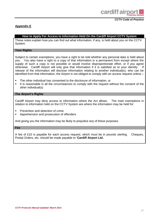

#### **Appendix E**

#### **How to Apply For Access to Information Held On the Cardiff Airport CCTV System**

These notes explain how you can find out what information, if any, is held about you on the CCTV System.

#### **Your Rights**

Subject to certain exemptions, you have a right to be told whether any personal data is held about you. You also have a right to a copy of that information in a permanent form except where the supply of such a copy is not possible or would involve disproportionate effort, or if you agree otherwise. Cardiff Airport will only give that information if it is satisfied as to your identity. If release of the information will disclose information relating to another individual(s), who can be identified from that information, the Airport is not obliged to comply with an access request unless –

- The other individual has consented to the disclosure of information, or
- It is reasonable in all the circumstances to comply with the request without the consent of the other individual(s)

#### **The Airport's Rights**

Cardiff Airport may deny access to information where the Act allows. The main exemptions in relation to information held on the CCTV System are where the information may be held for:

- Prevention and detection of crime
- Apprehension and prosecution of offenders

And giving you the information may be likely to prejudice any of these purposes.

#### **Fee**

A fee of £10 is payable for each access request, which must be in pounds sterling. Cheques, Postal Orders, etc. should be made payable to **'Cardiff Airport Ltd.**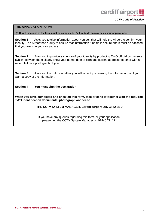

#### **THE APPLICATION FORM:**

#### **(N.B. ALL sections of the form must be completed. Failure to do so may delay your application.)**

**Section 1** Asks you to give information about yourself that will help the Airport to confirm your identity. The Airport has a duty to ensure that information it holds is secure and it must be satisfied that you are who you say you are.

**Section 2** Asks you to provide evidence of your identity by producing TWO official documents (which between them clearly show your name, date of birth and current address) together with a recent full face photograph of you.

**Section 3** Asks you to confirm whether you will accept just viewing the information, or if you want a copy of the information.

**Section 4 You must sign the declaration**

**When you have completed and checked this form, take or send it together with the required TWO identification documents, photograph and fee to:**

**THE CCTV SYSTEM MANAGER, Cardiff Airport Ltd, CF62 3BD**

If you have any queries regarding this form, or your application, please ring the CCTV System Manager on 01446 711111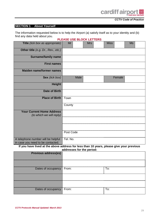cardiff airpor

 *CCTV Code of Practice*

#### **SECTION 1 About Yourself**

The information requested below is to help the Airport (a) satisfy itself as to your identity and (b) find any data held about you. **PLEASE USE BLOCK LETTERS**

|                                                                         | <u>I LLAJL UJL DLUUN LLI ILINJ</u> |      |            |             |        |           |  |
|-------------------------------------------------------------------------|------------------------------------|------|------------|-------------|--------|-----------|--|
| Title (tick box as appropriate)                                         | Mr                                 |      | <b>Mrs</b> | <b>Miss</b> |        | <b>Ms</b> |  |
| Other title (e.g. Dr., Rev., etc.)                                      |                                    |      |            |             |        |           |  |
| <b>Surname/family name</b>                                              |                                    |      |            |             |        |           |  |
| <b>First names</b>                                                      |                                    |      |            |             |        |           |  |
| <b>Maiden name/former names</b>                                         |                                    |      |            |             |        |           |  |
| Sex (tick box)                                                          |                                    | Male |            |             | Female |           |  |
| <b>Height</b>                                                           |                                    |      |            |             |        |           |  |
| <b>Date of Birth</b>                                                    |                                    |      |            |             |        |           |  |
| <b>Place of Birth</b>                                                   | Town                               |      |            |             |        |           |  |
|                                                                         | County                             |      |            |             |        |           |  |
| <b>Your Current Home Address</b><br>(to which we will reply)            |                                    |      |            |             |        |           |  |
|                                                                         |                                    |      |            |             |        |           |  |
|                                                                         |                                    |      |            |             |        |           |  |
|                                                                         | Post Code                          |      |            |             |        |           |  |
| A telephone number will be helpful<br>in case you need to be contacted. | Tel. No.                           |      |            |             |        |           |  |

**If you have lived at the above address for less than 10 years, please give your previous addresses for the period:**

| <b>Previous address(es)</b> |     |
|-----------------------------|-----|
|                             |     |
| Dates of occupancy   From:  | To: |
|                             |     |
|                             |     |
| Dates of occupancy   From:  | To: |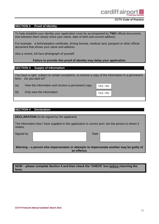

#### **SECTION 2 Proof of Identity**

To help establish your identity your application must be accompanied by **TWO** official documents that between them clearly show your name, date of birth and current address.

For example: a birth/adoption certificate, driving license, medical card, passport or other official document that shows your name and address.

Also a recent, full face photograph of yourself.

#### **Failure to provide this proof of identity may delay your application.**

#### **SECTION 3 Supply of Information**

You have a right, subject to certain exceptions, to receive a copy of the information in a permanent form. Do you wish to?

YES / NO

YES / NO

(a) View the information and receive a permanent copy

(b) Only view the information

#### **SECTION 4 Declaration**

| <b>DECLARATION</b> (to be signed by the applicant)                                                             |      |  |  |
|----------------------------------------------------------------------------------------------------------------|------|--|--|
| The information that I have supplied in this application is correct and I am the person to whom it<br>relates. |      |  |  |
| Signed by                                                                                                      | Date |  |  |
| Warning – a person who impersonates or attempts to impersonate another may be guilty of<br>an offence.         |      |  |  |

#### **NOW – please complete Section 5 and then check the 'CHECK' box before returning the form.**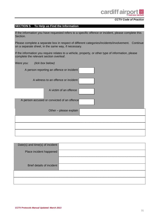#### **SECTION 5 To Help us Find the Information**

If the information you have requested refers to a specific offence or incident, please complete this Section.

Please complete a separate box in respect of different categories/incidents/involvement. Continue on a separate sheet, in the same way, if necessary.

If the information you require relates to a vehicle, property, or other type of information, please complete the relevant section overleaf.

| Were you: | (tick box below)                            |  |
|-----------|---------------------------------------------|--|
|           | A person reporting an offence or incident   |  |
|           | A witness to an offence or incident         |  |
|           | A victim of an offence                      |  |
|           | A person accused or convicted of an offence |  |
|           | Other - please explain                      |  |
|           |                                             |  |
|           |                                             |  |

| Date(s) and time(s) of incident  |
|----------------------------------|
| Place incident happened          |
|                                  |
|                                  |
| <b>Brief details of incident</b> |
|                                  |
|                                  |
|                                  |
|                                  |
|                                  |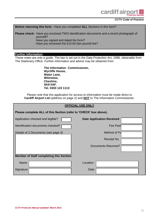#### **Before returning this form -** Have you completed **ALL** Sections in this form?

**Please check:** Have you enclosed TWO identification documents and a recent photograph of yourself? Have you signed and dated the form? Have you enclosed the £10.00 (ten pound) fee?

#### **Further Information:**

These notes are only a guide. The law is set out in the Data Protection Act, 1998, obtainable from The Stationery Office. Further information and advice may be obtained from:

> **The Information Commissioner, Wycliffe House, Water Lane, Wilmslow, Cheshire, SK9 5AF. Tel. 0303 123 1113**

Please note that this application for access to information must be made direct to **Cardiff Airport Ltd** (address on page 2) and **NOT** to The Information Commissioner.

| <b>OFFICIAL USE ONLY</b>                                          |                                  |  |  |  |  |
|-------------------------------------------------------------------|----------------------------------|--|--|--|--|
| Please complete ALL of this Section (refer to 'CHECK' box above). |                                  |  |  |  |  |
| Application checked and legible?                                  | <b>Date Application Received</b> |  |  |  |  |
| Identification documents checked?                                 | Fee Paid                         |  |  |  |  |
| Details of 2 Documents (see page 3)                               | Method of Pa                     |  |  |  |  |
|                                                                   | Receipt No.                      |  |  |  |  |
|                                                                   | Documents Returned?              |  |  |  |  |
| <b>Member of Staff completing this Section:</b>                   |                                  |  |  |  |  |
| <b>Name</b>                                                       | Location                         |  |  |  |  |
| Signature                                                         | Date                             |  |  |  |  |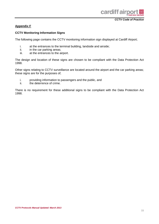

#### **Appendix F**

#### **CCTV Monitoring Information Signs**

The following page contains the CCTV monitoring information sign displayed at Cardiff Airport;

- i. at the entrances to the terminal building, landside and airside;
- ii. in the car parking areas;
- iii. at the entrances to the airport.

The design and location of these signs are chosen to be compliant with the Data Protection Act 1998.

Other signs relating to CCTV surveillance are located around the airport and the car parking areas; these signs are for the purposes of;

- i. providing information to passengers and the public, and
- ii. the deterrence of crime.

There is no requirement for these additional signs to be compliant with the Data Protection Act 1998.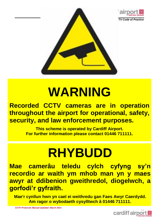



### **WARNING**

### **Recorded CCTV cameras are in operation throughout the airport for operational, safety, security, and law enforcement purposes.**

**This scheme is operated by Cardiff Airport. For further information please contact 01446 711111.**

## **RHYBUDD**

**Mae camerâu teledu cylch cyfyng sy'n recordio ar waith ym mhob man yn y maes awyr at ddibenion gweithredol, diogelwch, a gorfodi'r gyfraith.**

**Mae'r cynllun hwn yn cael ei weithredu gan Faes Awyr Caerdydd. Am ragor o wybodaeth cysylltwch â 01446 711111.**

*CCTV Protocols Manual Updated: March 2013*

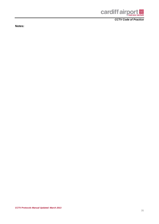

**Notes:**